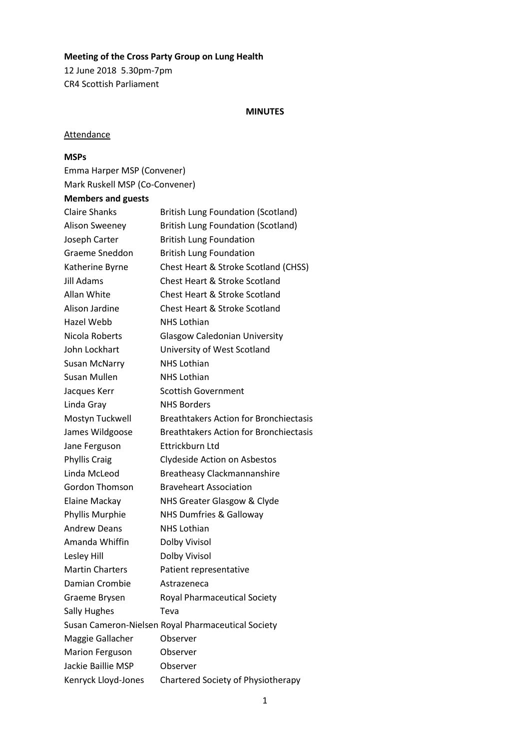# **Meeting of the Cross Party Group on Lung Health**

12 June 2018 5.30pm-7pm CR4 Scottish Parliament

#### **MINUTES**

# **Attendance**

### **MSPs**

Emma Harper MSP (Convener) Mark Ruskell MSP (Co-Convener)

# **Members and guests**

| <b>Claire Shanks</b>   | <b>British Lung Foundation (Scotland)</b>          |
|------------------------|----------------------------------------------------|
| <b>Alison Sweeney</b>  | <b>British Lung Foundation (Scotland)</b>          |
| Joseph Carter          | <b>British Lung Foundation</b>                     |
| Graeme Sneddon         | <b>British Lung Foundation</b>                     |
| Katherine Byrne        | Chest Heart & Stroke Scotland (CHSS)               |
| Jill Adams             | Chest Heart & Stroke Scotland                      |
| Allan White            | <b>Chest Heart &amp; Stroke Scotland</b>           |
| Alison Jardine         | <b>Chest Heart &amp; Stroke Scotland</b>           |
| <b>Hazel Webb</b>      | <b>NHS Lothian</b>                                 |
| Nicola Roberts         | <b>Glasgow Caledonian University</b>               |
| John Lockhart          | University of West Scotland                        |
| <b>Susan McNarry</b>   | <b>NHS Lothian</b>                                 |
| Susan Mullen           | <b>NHS Lothian</b>                                 |
| Jacques Kerr           | <b>Scottish Government</b>                         |
| Linda Gray             | <b>NHS Borders</b>                                 |
| Mostyn Tuckwell        | <b>Breathtakers Action for Bronchiectasis</b>      |
| James Wildgoose        | <b>Breathtakers Action for Bronchiectasis</b>      |
| Jane Ferguson          | Ettrickburn Ltd                                    |
| <b>Phyllis Craig</b>   | Clydeside Action on Asbestos                       |
| Linda McLeod           | <b>Breatheasy Clackmannanshire</b>                 |
| Gordon Thomson         | <b>Braveheart Association</b>                      |
| Elaine Mackay          | NHS Greater Glasgow & Clyde                        |
| Phyllis Murphie        | <b>NHS Dumfries &amp; Galloway</b>                 |
| <b>Andrew Deans</b>    | <b>NHS Lothian</b>                                 |
| Amanda Whiffin         | Dolby Vivisol                                      |
| Lesley Hill            | Dolby Vivisol                                      |
| <b>Martin Charters</b> | Patient representative                             |
| Damian Crombie         | Astrazeneca                                        |
| Graeme Brysen          | <b>Royal Pharmaceutical Society</b>                |
| <b>Sally Hughes</b>    | Teva                                               |
|                        | Susan Cameron-Nielsen Royal Pharmaceutical Society |
| Maggie Gallacher       | Observer                                           |
| <b>Marion Ferguson</b> | Observer                                           |
| Jackie Baillie MSP     | Observer                                           |
| Kenryck Lloyd-Jones    | Chartered Society of Physiotherapy                 |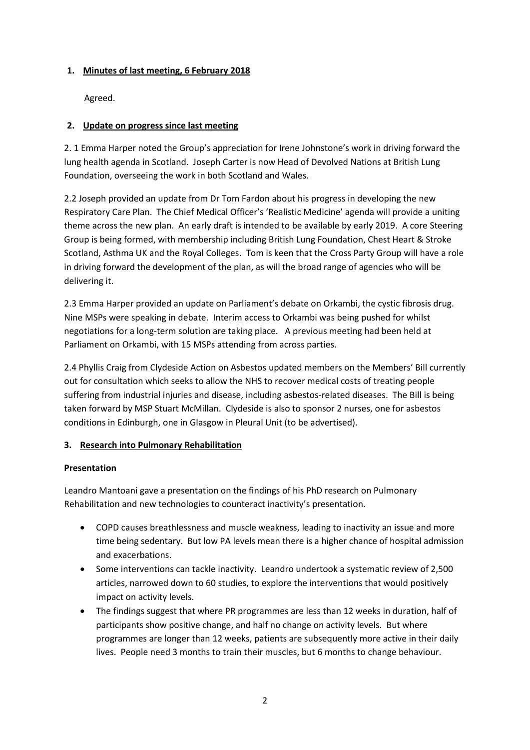### **1. Minutes of last meeting, 6 February 2018**

Agreed.

### **2. Update on progress since last meeting**

2. 1 Emma Harper noted the Group's appreciation for Irene Johnstone's work in driving forward the lung health agenda in Scotland. Joseph Carter is now Head of Devolved Nations at British Lung Foundation, overseeing the work in both Scotland and Wales.

2.2 Joseph provided an update from Dr Tom Fardon about his progress in developing the new Respiratory Care Plan. The Chief Medical Officer's 'Realistic Medicine' agenda will provide a uniting theme across the new plan. An early draft is intended to be available by early 2019. A core Steering Group is being formed, with membership including British Lung Foundation, Chest Heart & Stroke Scotland, Asthma UK and the Royal Colleges. Tom is keen that the Cross Party Group will have a role in driving forward the development of the plan, as will the broad range of agencies who will be delivering it.

2.3 Emma Harper provided an update on Parliament's debate on Orkambi, the cystic fibrosis drug. Nine MSPs were speaking in debate. Interim access to Orkambi was being pushed for whilst negotiations for a long-term solution are taking place. A previous meeting had been held at Parliament on Orkambi, with 15 MSPs attending from across parties.

2.4 Phyllis Craig from Clydeside Action on Asbestos updated members on the Members' Bill currently out for consultation which seeks to allow the NHS to recover medical costs of treating people suffering from industrial injuries and disease, including asbestos-related diseases. The Bill is being taken forward by MSP Stuart McMillan. Clydeside is also to sponsor 2 nurses, one for asbestos conditions in Edinburgh, one in Glasgow in Pleural Unit (to be advertised).

### **3. Research into Pulmonary Rehabilitation**

### **Presentation**

Leandro Mantoani gave a presentation on the findings of his PhD research on Pulmonary Rehabilitation and new technologies to counteract inactivity's presentation.

- COPD causes breathlessness and muscle weakness, leading to inactivity an issue and more time being sedentary. But low PA levels mean there is a higher chance of hospital admission and exacerbations.
- Some interventions can tackle inactivity. Leandro undertook a systematic review of 2,500 articles, narrowed down to 60 studies, to explore the interventions that would positively impact on activity levels.
- The findings suggest that where PR programmes are less than 12 weeks in duration, half of participants show positive change, and half no change on activity levels. But where programmes are longer than 12 weeks, patients are subsequently more active in their daily lives. People need 3 months to train their muscles, but 6 months to change behaviour.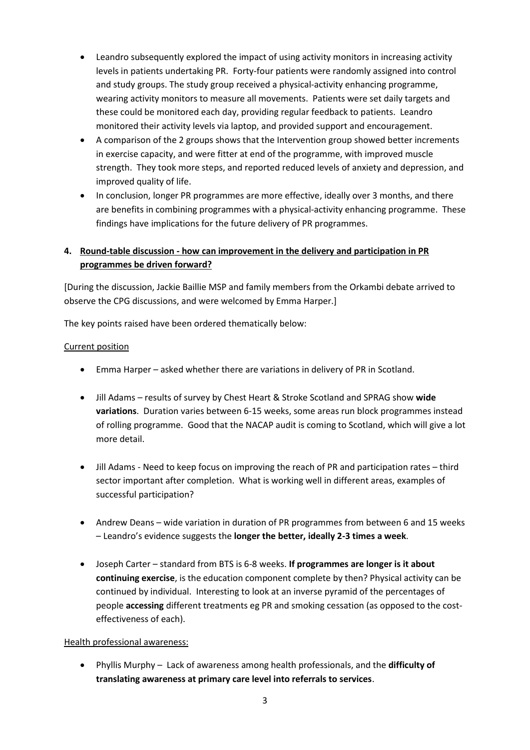- Leandro subsequently explored the impact of using activity monitors in increasing activity levels in patients undertaking PR. Forty-four patients were randomly assigned into control and study groups. The study group received a physical-activity enhancing programme, wearing activity monitors to measure all movements. Patients were set daily targets and these could be monitored each day, providing regular feedback to patients. Leandro monitored their activity levels via laptop, and provided support and encouragement.
- A comparison of the 2 groups shows that the Intervention group showed better increments in exercise capacity, and were fitter at end of the programme, with improved muscle strength. They took more steps, and reported reduced levels of anxiety and depression, and improved quality of life.
- In conclusion, longer PR programmes are more effective, ideally over 3 months, and there are benefits in combining programmes with a physical-activity enhancing programme. These findings have implications for the future delivery of PR programmes.

# **4. Round-table discussion - how can improvement in the delivery and participation in PR programmes be driven forward?**

[During the discussion, Jackie Baillie MSP and family members from the Orkambi debate arrived to observe the CPG discussions, and were welcomed by Emma Harper.]

The key points raised have been ordered thematically below:

### Current position

- Emma Harper asked whether there are variations in delivery of PR in Scotland.
- Jill Adams results of survey by Chest Heart & Stroke Scotland and SPRAG show **wide variations**. Duration varies between 6-15 weeks, some areas run block programmes instead of rolling programme. Good that the NACAP audit is coming to Scotland, which will give a lot more detail.
- Jill Adams Need to keep focus on improving the reach of PR and participation rates third sector important after completion. What is working well in different areas, examples of successful participation?
- Andrew Deans wide variation in duration of PR programmes from between 6 and 15 weeks – Leandro's evidence suggests the **longer the better, ideally 2-3 times a week**.
- Joseph Carter standard from BTS is 6-8 weeks. **If programmes are longer is it about continuing exercise**, is the education component complete by then? Physical activity can be continued by individual. Interesting to look at an inverse pyramid of the percentages of people **accessing** different treatments eg PR and smoking cessation (as opposed to the costeffectiveness of each).

### Health professional awareness:

• Phyllis Murphy – Lack of awareness among health professionals, and the **difficulty of translating awareness at primary care level into referrals to services**.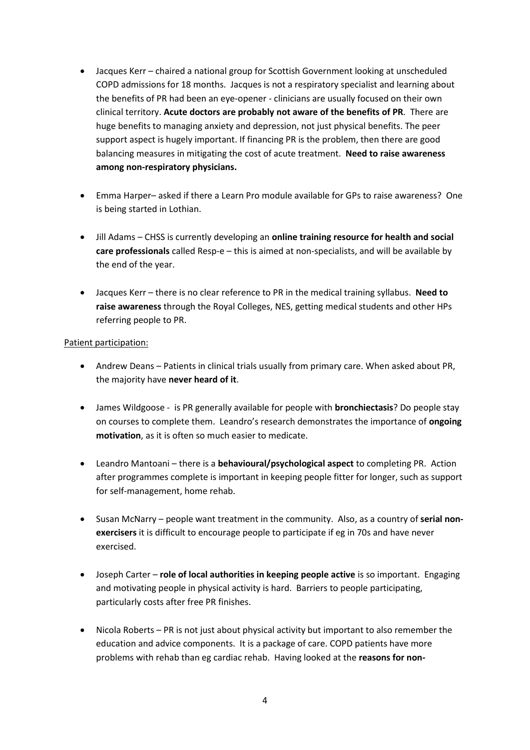- Jacques Kerr chaired a national group for Scottish Government looking at unscheduled COPD admissions for 18 months. Jacques is not a respiratory specialist and learning about the benefits of PR had been an eye-opener - clinicians are usually focused on their own clinical territory. **Acute doctors are probably not aware of the benefits of PR**. There are huge benefits to managing anxiety and depression, not just physical benefits. The peer support aspect is hugely important. If financing PR is the problem, then there are good balancing measures in mitigating the cost of acute treatment. **Need to raise awareness among non-respiratory physicians.**
- Emma Harper– asked if there a Learn Pro module available for GPs to raise awareness? One is being started in Lothian.
- Jill Adams CHSS is currently developing an **online training resource for health and social care professionals** called Resp-e – this is aimed at non-specialists, and will be available by the end of the year.
- Jacques Kerr there is no clear reference to PR in the medical training syllabus. **Need to raise awareness** through the Royal Colleges, NES, getting medical students and other HPs referring people to PR.

#### Patient participation:

- Andrew Deans Patients in clinical trials usually from primary care. When asked about PR, the majority have **never heard of it**.
- James Wildgoose is PR generally available for people with **bronchiectasis**? Do people stay on courses to complete them. Leandro's research demonstrates the importance of **ongoing motivation**, as it is often so much easier to medicate.
- Leandro Mantoani there is a **behavioural/psychological aspect** to completing PR. Action after programmes complete is important in keeping people fitter for longer, such as support for self-management, home rehab.
- Susan McNarry people want treatment in the community. Also, as a country of **serial nonexercisers** it is difficult to encourage people to participate if eg in 70s and have never exercised.
- Joseph Carter **role of local authorities in keeping people active** is so important. Engaging and motivating people in physical activity is hard. Barriers to people participating, particularly costs after free PR finishes.
- Nicola Roberts PR is not just about physical activity but important to also remember the education and advice components. It is a package of care. COPD patients have more problems with rehab than eg cardiac rehab. Having looked at the **reasons for non-**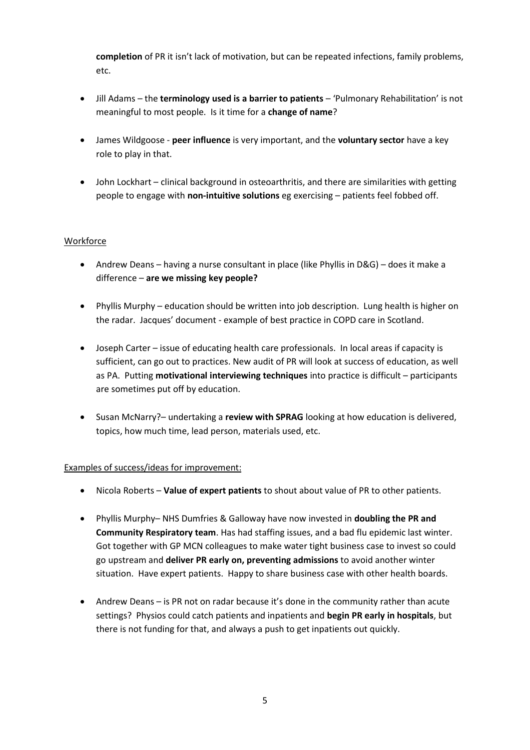**completion** of PR it isn't lack of motivation, but can be repeated infections, family problems, etc.

- Jill Adams the **terminology used is a barrier to patients** 'Pulmonary Rehabilitation' is not meaningful to most people. Is it time for a **change of name**?
- James Wildgoose **peer influence** is very important, and the **voluntary sector** have a key role to play in that.
- John Lockhart clinical background in osteoarthritis, and there are similarities with getting people to engage with **non-intuitive solutions** eg exercising – patients feel fobbed off.

### **Workforce**

- Andrew Deans having a nurse consultant in place (like Phyllis in D&G) does it make a difference – **are we missing key people?**
- Phyllis Murphy education should be written into job description. Lung health is higher on the radar. Jacques' document - example of best practice in COPD care in Scotland.
- Joseph Carter issue of educating health care professionals. In local areas if capacity is sufficient, can go out to practices. New audit of PR will look at success of education, as well as PA. Putting **motivational interviewing techniques** into practice is difficult – participants are sometimes put off by education.
- Susan McNarry?– undertaking a **review with SPRAG** looking at how education is delivered, topics, how much time, lead person, materials used, etc.

### Examples of success/ideas for improvement:

- Nicola Roberts **Value of expert patients** to shout about value of PR to other patients.
- Phyllis Murphy– NHS Dumfries & Galloway have now invested in **doubling the PR and Community Respiratory team**. Has had staffing issues, and a bad flu epidemic last winter. Got together with GP MCN colleagues to make water tight business case to invest so could go upstream and **deliver PR early on, preventing admissions** to avoid another winter situation. Have expert patients. Happy to share business case with other health boards.
- Andrew Deans is PR not on radar because it's done in the community rather than acute settings? Physios could catch patients and inpatients and **begin PR early in hospitals**, but there is not funding for that, and always a push to get inpatients out quickly.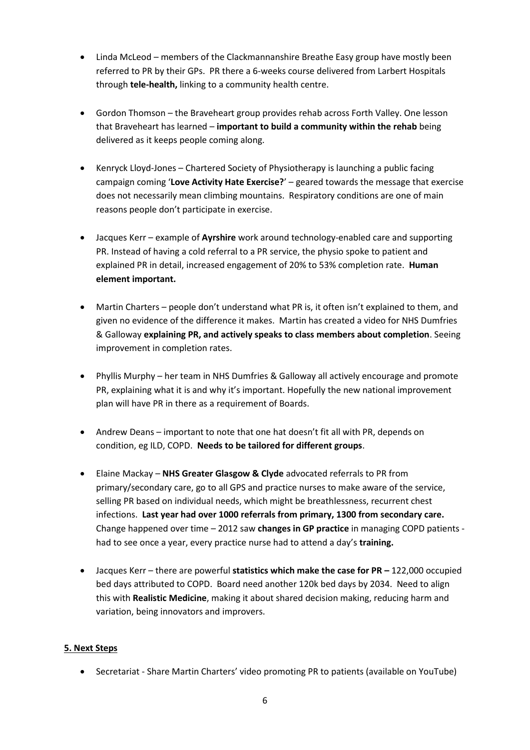- Linda McLeod members of the Clackmannanshire Breathe Easy group have mostly been referred to PR by their GPs. PR there a 6-weeks course delivered from Larbert Hospitals through **tele-health,** linking to a community health centre.
- Gordon Thomson the Braveheart group provides rehab across Forth Valley. One lesson that Braveheart has learned – **important to build a community within the rehab** being delivered as it keeps people coming along.
- Kenryck Lloyd-Jones Chartered Society of Physiotherapy is launching a public facing campaign coming '**Love Activity Hate Exercise?**' – geared towards the message that exercise does not necessarily mean climbing mountains. Respiratory conditions are one of main reasons people don't participate in exercise.
- Jacques Kerr example of **Ayrshire** work around technology-enabled care and supporting PR. Instead of having a cold referral to a PR service, the physio spoke to patient and explained PR in detail, increased engagement of 20% to 53% completion rate. **Human element important.**
- Martin Charters people don't understand what PR is, it often isn't explained to them, and given no evidence of the difference it makes. Martin has created a video for NHS Dumfries & Galloway **explaining PR, and actively speaks to class members about completion**. Seeing improvement in completion rates.
- Phyllis Murphy her team in NHS Dumfries & Galloway all actively encourage and promote PR, explaining what it is and why it's important. Hopefully the new national improvement plan will have PR in there as a requirement of Boards.
- Andrew Deans important to note that one hat doesn't fit all with PR, depends on condition, eg ILD, COPD. **Needs to be tailored for different groups**.
- Elaine Mackay **NHS Greater Glasgow & Clyde** advocated referrals to PR from primary/secondary care, go to all GPS and practice nurses to make aware of the service, selling PR based on individual needs, which might be breathlessness, recurrent chest infections. **Last year had over 1000 referrals from primary, 1300 from secondary care.**  Change happened over time – 2012 saw **changes in GP practice** in managing COPD patients had to see once a year, every practice nurse had to attend a day's **training.**
- Jacques Kerr there are powerful **statistics which make the case for PR –** 122,000 occupied bed days attributed to COPD. Board need another 120k bed days by 2034. Need to align this with **Realistic Medicine**, making it about shared decision making, reducing harm and variation, being innovators and improvers.

### **5. Next Steps**

• Secretariat - Share Martin Charters' video promoting PR to patients (available on YouTube)